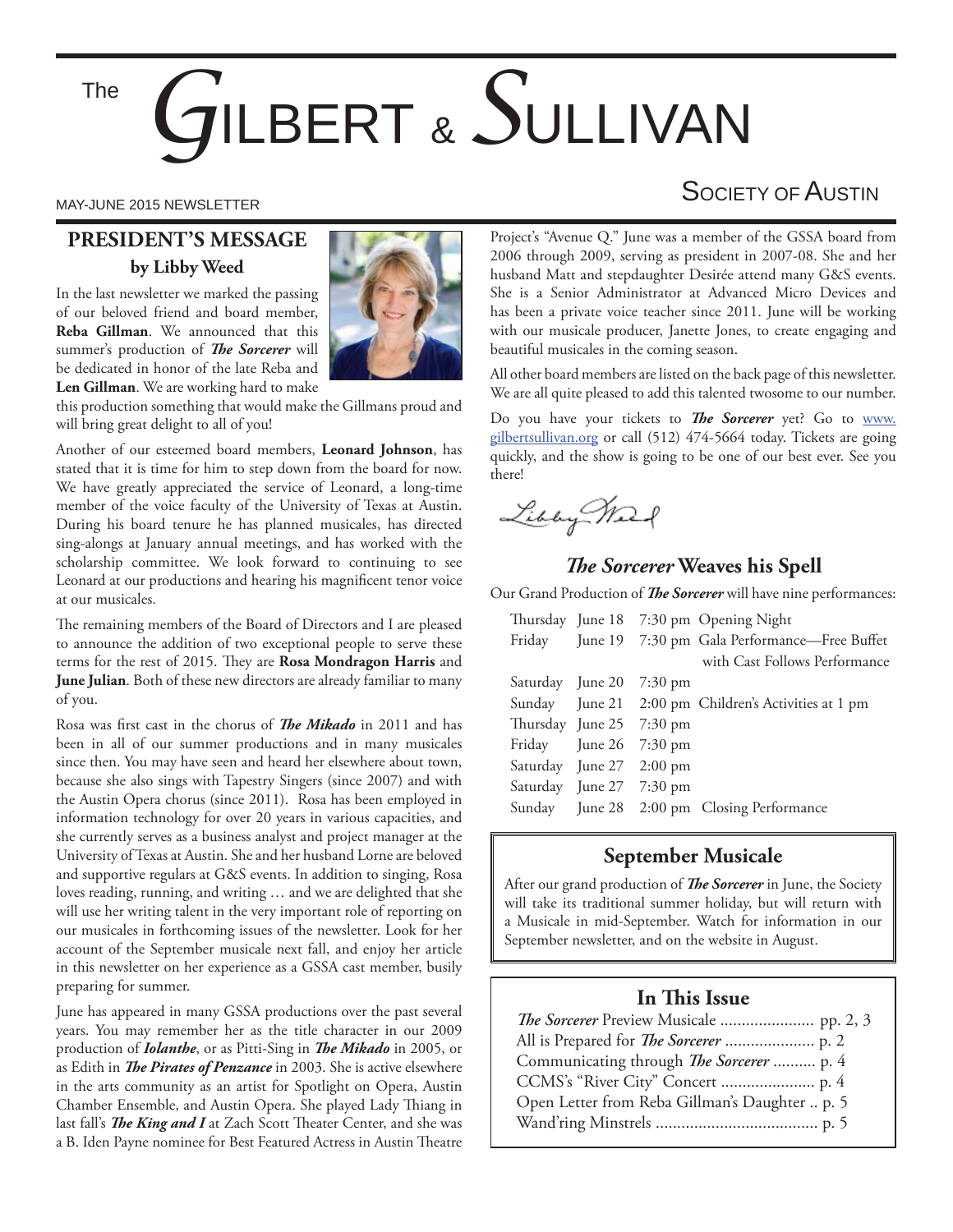The

# *G*ILBERT & *S*ULLIVAN

#### **PRESIDENT'S MESSAGE by Libby Weed**

In the last newsletter we marked the passing of our beloved friend and board member, **Reba Gillman**. We announced that this summer's production of *The Sorcerer* will be dedicated in honor of the late Reba and **Len Gillman**. We are working hard to make



this production something that would make the Gillmans proud and will bring great delight to all of you!

Another of our esteemed board members, **Leonard Johnson**, has stated that it is time for him to step down from the board for now. We have greatly appreciated the service of Leonard, a long-time member of the voice faculty of the University of Texas at Austin. During his board tenure he has planned musicales, has directed sing-alongs at January annual meetings, and has worked with the scholarship committee. We look forward to continuing to see Leonard at our productions and hearing his magnificent tenor voice at our musicales.

The remaining members of the Board of Directors and I are pleased to announce the addition of two exceptional people to serve these terms for the rest of 2015. They are Rosa Mondragon Harris and **June Julian**. Both of these new directors are already familiar to many of you.

Rosa was first cast in the chorus of *The Mikado* in 2011 and has been in all of our summer productions and in many musicales since then. You may have seen and heard her elsewhere about town, because she also sings with Tapestry Singers (since 2007) and with the Austin Opera chorus (since 2011). Rosa has been employed in information technology for over 20 years in various capacities, and she currently serves as a business analyst and project manager at the University of Texas at Austin. She and her husband Lorne are beloved and supportive regulars at G&S events. In addition to singing, Rosa loves reading, running, and writing … and we are delighted that she will use her writing talent in the very important role of reporting on our musicales in forthcoming issues of the newsletter. Look for her account of the September musicale next fall, and enjoy her article in this newsletter on her experience as a GSSA cast member, busily preparing for summer.

June has appeared in many GSSA productions over the past several years. You may remember her as the title character in our 2009 production of *Iolanthe*, or as Pitti-Sing in *The Mikado* in 2005, or as Edith in *The Pirates of Penzance* in 2003. She is active elsewhere in the arts community as an artist for Spotlight on Opera, Austin Chamber Ensemble, and Austin Opera. She played Lady Thiang in last fall's *The King and I* at Zach Scott Theater Center, and she was a B. Iden Payne nominee for Best Featured Actress in Austin Theatre

## MAY-JUNE 2015 NEWSLETTER NEWSLETTER AND THE SOCIETY OF AUSTIN

Project's "Avenue Q." June was a member of the GSSA board from 2006 through 2009, serving as president in 2007-08. She and her husband Matt and stepdaughter Desirée attend many G&S events. She is a Senior Administrator at Advanced Micro Devices and has been a private voice teacher since 2011. June will be working with our musicale producer, Janette Jones, to create engaging and beautiful musicales in the coming season.

All other board members are listed on the back page of this newsletter. We are all quite pleased to add this talented twosome to our number.

Do you have your tickets to *The Sorcerer* yet? Go to www. gilbertsullivan.org or call (512) 474-5664 today. Tickets are going quickly, and the show is going to be one of our best ever. See you there!

Libby Mart

#### **The Sorcerer Weaves his Spell**

Our Grand Production of *The Sorcerer* will have nine performances:

|                          |                          | Thursday June 18 7:30 pm Opening Night               |
|--------------------------|--------------------------|------------------------------------------------------|
|                          |                          | Friday June 19 7:30 pm Gala Performance—Free Buffet  |
|                          |                          | with Cast Follows Performance                        |
|                          | Saturday June 20 7:30 pm |                                                      |
|                          |                          | Sunday June 21 2:00 pm Children's Activities at 1 pm |
|                          | Thursday June 25 7:30 pm |                                                      |
|                          | Friday June 26 7:30 pm   |                                                      |
| Saturday June 27 2:00 pm |                          |                                                      |
|                          | Saturday June 27 7:30 pm |                                                      |
|                          |                          | Sunday June 28 2:00 pm Closing Performance           |

#### **September Musicale**

After our grand production of *The Sorcerer* in June, the Society will take its traditional summer holiday, but will return with a Musicale in mid-September. Watch for information in our September newsletter, and on the website in August.

#### **In This Issue**

| Communicating through <i>The Sorcerer</i> p. 4 |  |
|------------------------------------------------|--|
|                                                |  |
| Open Letter from Reba Gillman's Daughter  p. 5 |  |
|                                                |  |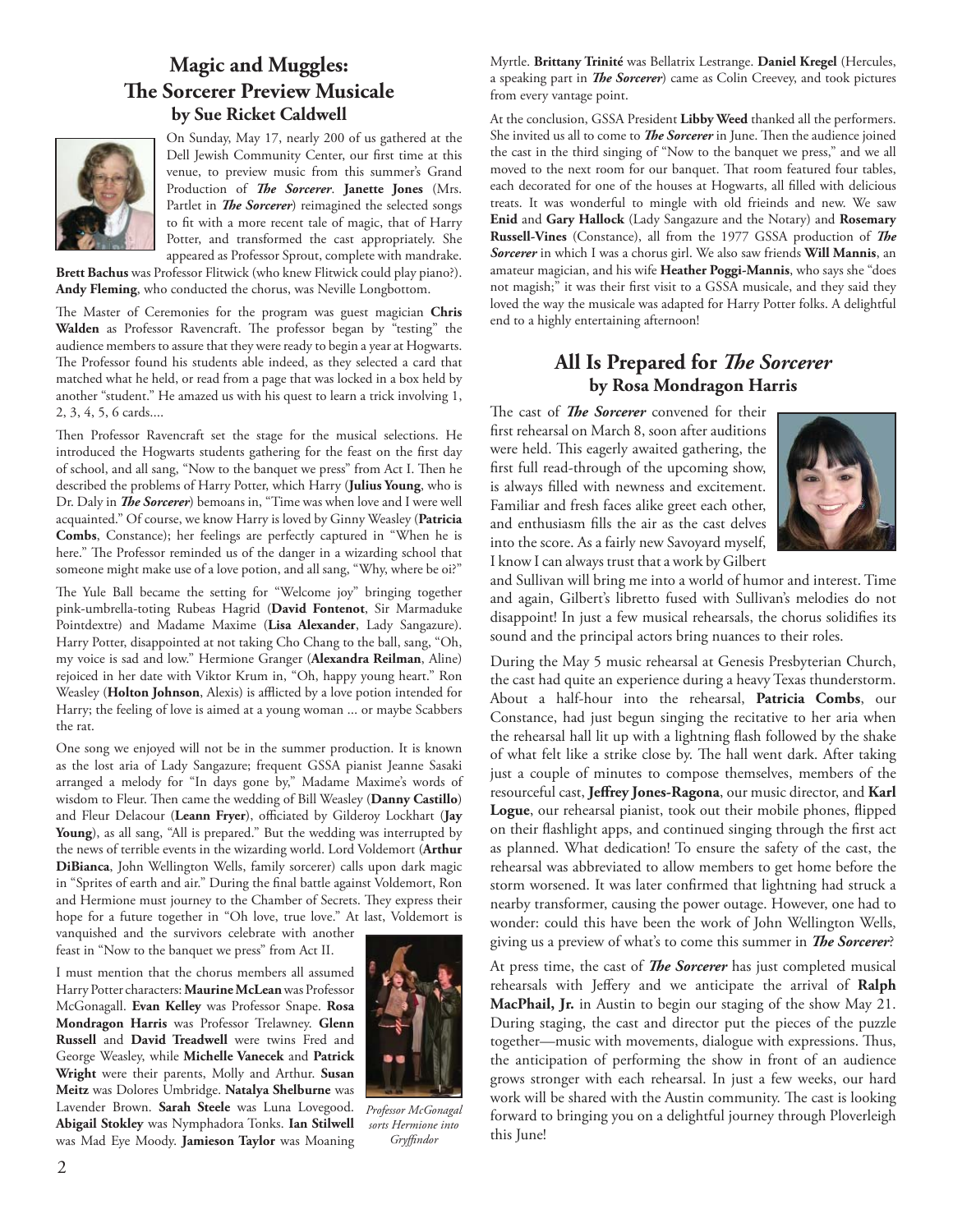#### **Magic and Muggles: The Sorcerer Preview Musicale by Sue Ricket Caldwell**



On Sunday, May 17, nearly 200 of us gathered at the Dell Jewish Community Center, our first time at this venue, to preview music from this summer's Grand Production of *The Sorcerer*. Janette Jones (Mrs. Partlet in *The Sorcerer*) reimagined the selected songs to fit with a more recent tale of magic, that of Harry Potter, and transformed the cast appropriately. She appeared as Professor Sprout, complete with mandrake.

**Brett Bachus** was Professor Flitwick (who knew Flitwick could play piano?). **Andy Fleming**, who conducted the chorus, was Neville Longbottom.

The Master of Ceremonies for the program was guest magician Chris Walden as Professor Ravencraft. The professor began by "testing" the audience members to assure that they were ready to begin a year at Hogwarts. The Professor found his students able indeed, as they selected a card that matched what he held, or read from a page that was locked in a box held by another "student." He amazed us with his quest to learn a trick involving 1, 2, 3, 4, 5, 6 cards....

Then Professor Ravencraft set the stage for the musical selections. He introduced the Hogwarts students gathering for the feast on the first day of school, and all sang, "Now to the banquet we press" from Act I. Then he described the problems of Harry Potter, which Harry (**Julius Young**, who is Dr. Daly in *The Sorcerer*) bemoans in, "Time was when love and I were well acquainted." Of course, we know Harry is loved by Ginny Weasley (**Patricia Combs**, Constance); her feelings are perfectly captured in "When he is here." The Professor reminded us of the danger in a wizarding school that someone might make use of a love potion, and all sang, "Why, where be oi?"

The Yule Ball became the setting for "Welcome joy" bringing together pink-umbrella-toting Rubeas Hagrid (**David Fontenot**, Sir Marmaduke Pointdextre) and Madame Maxime (**Lisa Alexander**, Lady Sangazure). Harry Potter, disappointed at not taking Cho Chang to the ball, sang, "Oh, my voice is sad and low." Hermione Granger (**Alexandra Reilman**, Aline) rejoiced in her date with Viktor Krum in, "Oh, happy young heart." Ron Weasley (Holton Johnson, Alexis) is afflicted by a love potion intended for Harry; the feeling of love is aimed at a young woman ... or maybe Scabbers the rat.

One song we enjoyed will not be in the summer production. It is known as the lost aria of Lady Sangazure; frequent GSSA pianist Jeanne Sasaki arranged a melody for "In days gone by," Madame Maxime's words of wisdom to Fleur. Then came the wedding of Bill Weasley (Danny Castillo) and Fleur Delacour (Leann Fryer), officiated by Gilderoy Lockhart (Jay **Young**), as all sang, "All is prepared." But the wedding was interrupted by the news of terrible events in the wizarding world. Lord Voldemort (**Arthur DiBianca**, John Wellington Wells, family sorcerer) calls upon dark magic in "Sprites of earth and air." During the final battle against Voldemort, Ron and Hermione must journey to the Chamber of Secrets. They express their hope for a future together in "Oh love, true love." At last, Voldemort is vanquished and the survivors celebrate with another

feast in "Now to the banquet we press" from Act II.

I must mention that the chorus members all assumed Harry Potter characters: **Maurine McLean** was Professor McGonagall. **Evan Kelley** was Professor Snape. **Rosa Mondragon Harris** was Professor Trelawney. **Glenn Russell** and **David Treadwell** were twins Fred and George Weasley, while **Michelle Vanecek** and **Patrick Wright** were their parents, Molly and Arthur. **Susan Meitz** was Dolores Umbridge. **Natalya Shelburne** was Lavender Brown. **Sarah Steele** was Luna Lovegood. **Abigail Stokley** was Nymphadora Tonks. **Ian Stilwell** was Mad Eye Moody. **Jamieson Taylor** was Moaning



*Professor McGonagal sorts Hermione into Gryffi ndor*

Myrtle. **Brittany Trinité** was Bellatrix Lestrange. **Daniel Kregel** (Hercules, a speaking part in *The Sorcerer*) came as Colin Creevey, and took pictures from every vantage point.

At the conclusion, GSSA President **Libby Weed** thanked all the performers. She invited us all to come to *The Sorcerer* in June. Then the audience joined the cast in the third singing of "Now to the banquet we press," and we all moved to the next room for our banquet. That room featured four tables, each decorated for one of the houses at Hogwarts, all filled with delicious treats. It was wonderful to mingle with old frieinds and new. We saw **Enid** and **Gary Hallock** (Lady Sangazure and the Notary) and **Rosemary**  Russell-Vines (Constance), all from the 1977 GSSA production of *The Sorcerer* in which I was a chorus girl. We also saw friends **Will Mannis**, an amateur magician, and his wife **Heather Poggi-Mannis**, who says she "does not magish;" it was their first visit to a GSSA musicale, and they said they loved the way the musicale was adapted for Harry Potter folks. A delightful end to a highly entertaining afternoon!

#### All Is Prepared for *The Sorcerer* **by Rosa Mondragon Harris**

The cast of *The Sorcerer* convened for their first rehearsal on March 8, soon after auditions were held. This eagerly awaited gathering, the first full read-through of the upcoming show, is always filled with newness and excitement. Familiar and fresh faces alike greet each other, and enthusiasm fills the air as the cast delves into the score. As a fairly new Savoyard myself, I know I can always trust that a work by Gilbert



and Sullivan will bring me into a world of humor and interest. Time and again, Gilbert's libretto fused with Sullivan's melodies do not disappoint! In just a few musical rehearsals, the chorus solidifies its sound and the principal actors bring nuances to their roles.

During the May 5 music rehearsal at Genesis Presbyterian Church, the cast had quite an experience during a heavy Texas thunderstorm. About a half-hour into the rehearsal, **Patricia Combs**, our Constance, had just begun singing the recitative to her aria when the rehearsal hall lit up with a lightning flash followed by the shake of what felt like a strike close by. The hall went dark. After taking just a couple of minutes to compose themselves, members of the resourceful cast, Jeffrey Jones-Ragona, our music director, and Karl Logue, our rehearsal pianist, took out their mobile phones, flipped on their flashlight apps, and continued singing through the first act as planned. What dedication! To ensure the safety of the cast, the rehearsal was abbreviated to allow members to get home before the storm worsened. It was later confirmed that lightning had struck a nearby transformer, causing the power outage. However, one had to wonder: could this have been the work of John Wellington Wells, giving us a preview of what's to come this summer in *The Sorcerer*?

At press time, the cast of *The Sorcerer* has just completed musical rehearsals with Jeffery and we anticipate the arrival of Ralph **MacPhail, Jr.** in Austin to begin our staging of the show May 21. During staging, the cast and director put the pieces of the puzzle together—music with movements, dialogue with expressions. Thus, the anticipation of performing the show in front of an audience grows stronger with each rehearsal. In just a few weeks, our hard work will be shared with the Austin community. The cast is looking forward to bringing you on a delightful journey through Ploverleigh this June!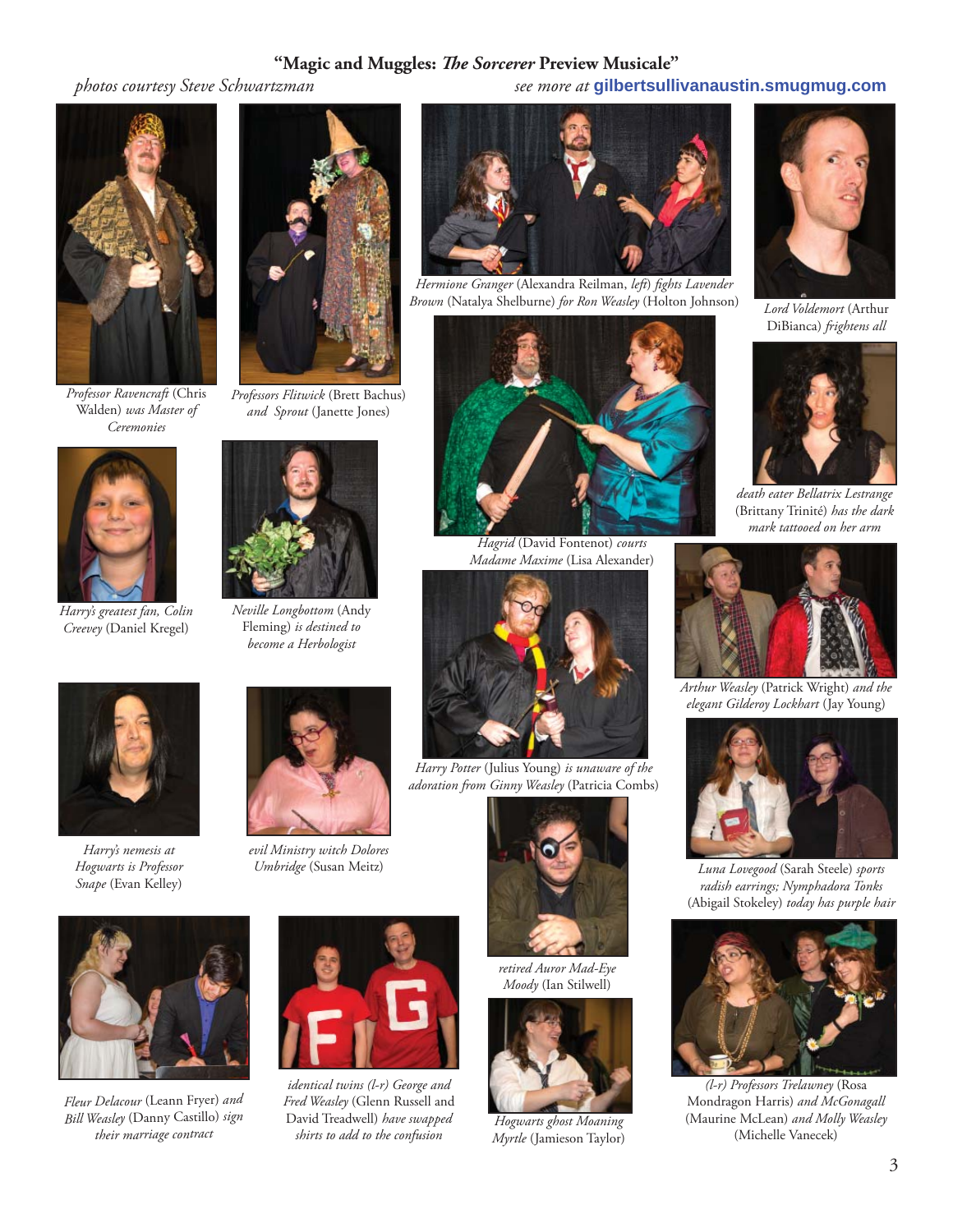#### "Magic and Muggles: The Sorcerer Preview Musicale"

 *photos courtesy Steve Schwartzman see more at* **gilbertsullivanaustin.smugmug.com**



*Professor Ravencraft* (Chris Walden) *was Master of Ceremonies*



*Harry's greatest fan, Colin Creevey* (Daniel Kregel)



*Professors Flitwick* (Brett Bachus) *and Sprout* (Janette Jones)



*Neville Longbottom* (Andy Fleming) *is destined to become a Herbologist*



*Harry's nemesis at Hogwarts is Professor Snape* (Evan Kelley)



*evil Ministry witch Dolores Umbridge* (Susan Meitz)



*Fleur Delacour* (Leann Fryer) *and Bill Weasley* (Danny Castillo) *sign their marriage contract*



*identical twins (l-r) George and Fred Weasley* (Glenn Russell and David Treadwell) *have swapped shirts to add to the confusion*



*Hermione Granger* (Alexandra Reilman, *left*) *fi ghts Lavender Brown* (Natalya Shelburne) *for Ron Weasley* (Holton Johnson) *Lord Voldemort* (Arthur



*Hagrid* (David Fontenot) *courts Madame Maxime* (Lisa Alexander)



*Harry Potter* (Julius Young) *is unaware of the adoration from Ginny Weasley* (Patricia Combs)



*Moody* (Ian Stilwell)



*Hogwarts ghost Moaning Myrtle* (Jamieson Taylor)



DiBianca) *frightens all*



*death eater Bellatrix Lestrange*  (Brittany Trinité) *has the dark mark tattooed on her arm*



*Arthur Weasley* (Patrick Wright) *and the elegant Gilderoy Lockhart* (Jay Young)



*Luna Lovegood* (Sarah Steele) *sports radish earrings; Nymphadora Tonks*  (Abigail Stokeley) *today has purple hair*



*(l-r) Professors Trelawney* (Rosa Mondragon Harris) *and McGonagall*  (Maurine McLean) *and Molly Weasley*  (Michelle Vanecek)



*retired Auror Mad-Eye*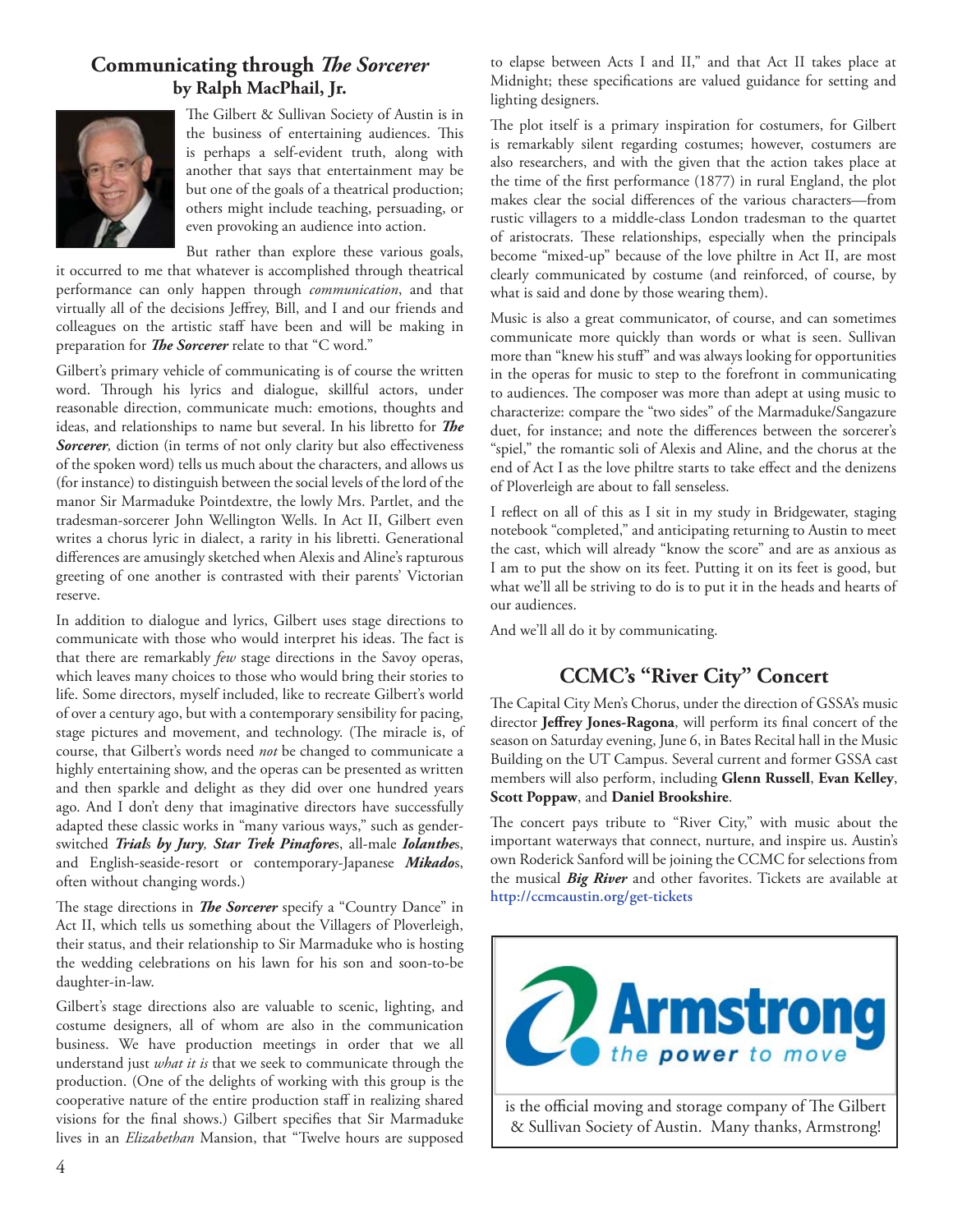#### **Communicating through** *The Sorcerer* **by Ralph MacPhail, Jr.**



The Gilbert & Sullivan Society of Austin is in the business of entertaining audiences. This is perhaps a self-evident truth, along with another that says that entertainment may be but one of the goals of a theatrical production; others might include teaching, persuading, or even provoking an audience into action.

But rather than explore these various goals,

it occurred to me that whatever is accomplished through theatrical performance can only happen through *communication*, and that virtually all of the decisions Jeffrey, Bill, and I and our friends and colleagues on the artistic staff have been and will be making in preparation for *The Sorcerer* relate to that "C word."

Gilbert's primary vehicle of communicating is of course the written word. Through his lyrics and dialogue, skillful actors, under reasonable direction, communicate much: emotions, thoughts and ideas, and relationships to name but several. In his libretto for The Sorcerer, diction (in terms of not only clarity but also effectiveness of the spoken word) tells us much about the characters, and allows us (for instance) to distinguish between the social levels of the lord of the manor Sir Marmaduke Pointdextre, the lowly Mrs. Partlet, and the tradesman-sorcerer John Wellington Wells. In Act II, Gilbert even writes a chorus lyric in dialect, a rarity in his libretti. Generational differences are amusingly sketched when Alexis and Aline's rapturous greeting of one another is contrasted with their parents' Victorian reserve.

In addition to dialogue and lyrics, Gilbert uses stage directions to communicate with those who would interpret his ideas. The fact is that there are remarkably *few* stage directions in the Savoy operas, which leaves many choices to those who would bring their stories to life. Some directors, myself included, like to recreate Gilbert's world of over a century ago, but with a contemporary sensibility for pacing, stage pictures and movement, and technology. (The miracle is, of course, that Gilbert's words need *not* be changed to communicate a highly entertaining show, and the operas can be presented as written and then sparkle and delight as they did over one hundred years ago. And I don't deny that imaginative directors have successfully adapted these classic works in "many various ways," such as genderswitched *Trial*s *by Jury, Star Trek Pinafore*s, all-male *Iolanthe*s, and English-seaside-resort or contemporary-Japanese *Mikado*s, often without changing words.)

The stage directions in *The Sorcerer* specify a "Country Dance" in Act II, which tells us something about the Villagers of Ploverleigh, their status, and their relationship to Sir Marmaduke who is hosting the wedding celebrations on his lawn for his son and soon-to-be daughter-in-law.

Gilbert's stage directions also are valuable to scenic, lighting, and costume designers, all of whom are also in the communication business. We have production meetings in order that we all understand just *what it is* that we seek to communicate through the production. (One of the delights of working with this group is the cooperative nature of the entire production staff in realizing shared visions for the final shows.) Gilbert specifies that Sir Marmaduke lives in an *Elizabethan* Mansion, that "Twelve hours are supposed

to elapse between Acts I and II," and that Act II takes place at Midnight; these specifications are valued guidance for setting and lighting designers.

The plot itself is a primary inspiration for costumers, for Gilbert is remarkably silent regarding costumes; however, costumers are also researchers, and with the given that the action takes place at the time of the first performance (1877) in rural England, the plot makes clear the social differences of the various characters-from rustic villagers to a middle-class London tradesman to the quartet of aristocrats. These relationships, especially when the principals become "mixed-up" because of the love philtre in Act II, are most clearly communicated by costume (and reinforced, of course, by what is said and done by those wearing them).

Music is also a great communicator, of course, and can sometimes communicate more quickly than words or what is seen. Sullivan more than "knew his stuff" and was always looking for opportunities in the operas for music to step to the forefront in communicating to audiences. The composer was more than adept at using music to characterize: compare the "two sides" of the Marmaduke/Sangazure duet, for instance; and note the differences between the sorcerer's "spiel," the romantic soli of Alexis and Aline, and the chorus at the end of Act I as the love philtre starts to take effect and the denizens of Ploverleigh are about to fall senseless.

I reflect on all of this as I sit in my study in Bridgewater, staging notebook "completed," and anticipating returning to Austin to meet the cast, which will already "know the score" and are as anxious as I am to put the show on its feet. Putting it on its feet is good, but what we'll all be striving to do is to put it in the heads and hearts of our audiences.

And we'll all do it by communicating.

#### **CCMC's "River City" Concert**

The Capital City Men's Chorus, under the direction of GSSA's music director Jeffrey Jones-Ragona, will perform its final concert of the season on Saturday evening, June 6, in Bates Recital hall in the Music Building on the UT Campus. Several current and former GSSA cast members will also perform, including **Glenn Russell**, **Evan Kelley**, **Scott Poppaw**, and **Daniel Brookshire**.

The concert pays tribute to "River City," with music about the important waterways that connect, nurture, and inspire us. Austin's own Roderick Sanford will be joining the CCMC for selections from the musical *Big River* and other favorites. Tickets are available at **http://ccmcaustin.org/get-tickets**

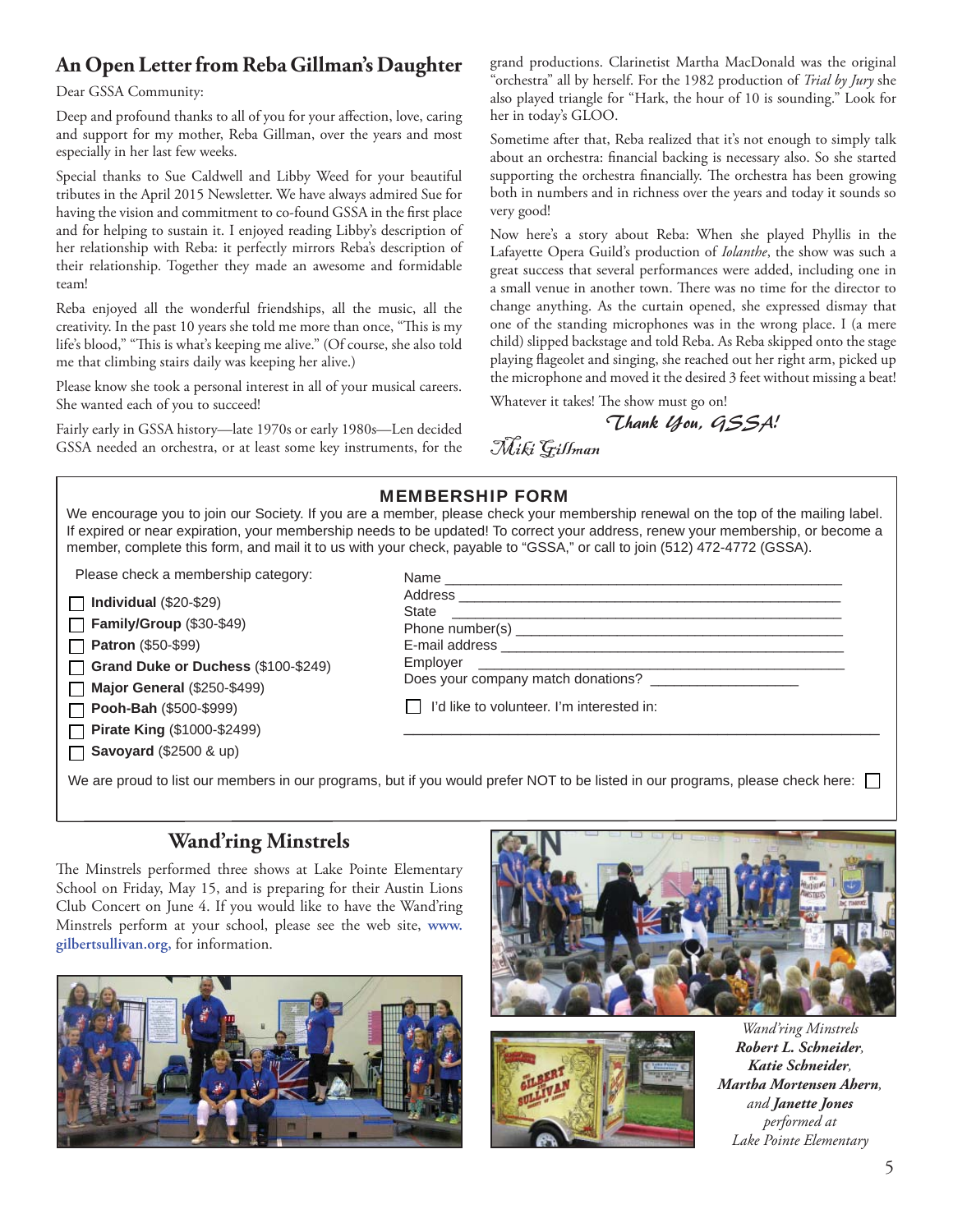### **An Open Letter from Reba Gillman's Daughter**

Dear GSSA Community:

Deep and profound thanks to all of you for your affection, love, caring and support for my mother, Reba Gillman, over the years and most especially in her last few weeks.

Special thanks to Sue Caldwell and Libby Weed for your beautiful tributes in the April 2015 Newsletter. We have always admired Sue for having the vision and commitment to co-found GSSA in the first place and for helping to sustain it. I enjoyed reading Libby's description of her relationship with Reba: it perfectly mirrors Reba's description of their relationship. Together they made an awesome and formidable team!

Reba enjoyed all the wonderful friendships, all the music, all the creativity. In the past 10 years she told me more than once, "This is my life's blood," "This is what's keeping me alive." (Of course, she also told me that climbing stairs daily was keeping her alive.)

Please know she took a personal interest in all of your musical careers. She wanted each of you to succeed!

Fairly early in GSSA history—late 1970s or early 1980s—Len decided GSSA needed an orchestra, or at least some key instruments, for the

grand productions. Clarinetist Martha MacDonald was the original "orchestra" all by herself. For the 1982 production of *Trial by Jury* she also played triangle for "Hark, the hour of 10 is sounding." Look for her in today's GLOO.

Sometime after that, Reba realized that it's not enough to simply talk about an orchestra: financial backing is necessary also. So she started supporting the orchestra financially. The orchestra has been growing both in numbers and in richness over the years and today it sounds so very good!

Now here's a story about Reba: When she played Phyllis in the Lafayette Opera Guild's production of *Iolanthe*, the show was such a great success that several performances were added, including one in a small venue in another town. There was no time for the director to change anything. As the curtain opened, she expressed dismay that one of the standing microphones was in the wrong place. I (a mere child) slipped backstage and told Reba. As Reba skipped onto the stage playing flageolet and singing, she reached out her right arm, picked up the microphone and moved it the desired 3 feet without missing a beat!

Whatever it takes! The show must go on!

Thank You, GSSA!

Miki Gillman

|                                                                                                                                                                                                                                | <b>MEMBERSHIP FORM</b><br>We encourage you to join our Society. If you are a member, please check your membership renewal on the top of the mailing label.<br>If expired or near expiration, your membership needs to be updated! To correct your address, renew your membership, or become a<br>member, complete this form, and mail it to us with your check, payable to "GSSA," or call to join (512) 472-4772 (GSSA). |
|--------------------------------------------------------------------------------------------------------------------------------------------------------------------------------------------------------------------------------|---------------------------------------------------------------------------------------------------------------------------------------------------------------------------------------------------------------------------------------------------------------------------------------------------------------------------------------------------------------------------------------------------------------------------|
| Please check a membership category:                                                                                                                                                                                            |                                                                                                                                                                                                                                                                                                                                                                                                                           |
| Individual $(\$20-\$29)$<br>Family/Group (\$30-\$49)<br><b>Patron</b> (\$50-\$99)<br>Grand Duke or Duchess (\$100-\$249)<br><b>Major General (\$250-\$499)</b><br>Pooh-Bah (\$500-\$999)<br><b>Pirate King (\$1000-\$2499)</b> | Does your company match donations?<br>I'd like to volunteer. I'm interested in:                                                                                                                                                                                                                                                                                                                                           |
| <b>Savoyard</b> (\$2500 & up)                                                                                                                                                                                                  | We are proud to list our members in our programs, but if you would prefer NOT to be listed in our programs, please check here:                                                                                                                                                                                                                                                                                            |

### **Wand'ring Minstrels**

The Minstrels performed three shows at Lake Pointe Elementary School on Friday, May 15, and is preparing for their Austin Lions Club Concert on June 4. If you would like to have the Wand'ring Minstrels perform at your school, please see the web site, **www. gilbertsullivan.org,** for information.







*Wand'ring Minstrels Robert L. Schneider, Katie Schneider, Martha Mortensen Ahern, and Janette Jones performed at Lake Pointe Elementary*